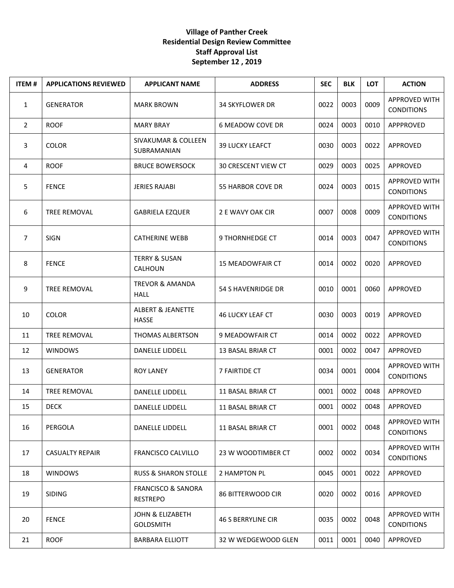## **Village of Panther Creek Residential Design Review Committee Staff Approval List September 12 , 2019**

| <b>ITEM#</b>   | <b>APPLICATIONS REVIEWED</b> | <b>APPLICANT NAME</b>                            | <b>ADDRESS</b>             | <b>SEC</b> | <b>BLK</b> | <b>LOT</b> | <b>ACTION</b>                             |
|----------------|------------------------------|--------------------------------------------------|----------------------------|------------|------------|------------|-------------------------------------------|
| $\mathbf{1}$   | <b>GENERATOR</b>             | <b>MARK BROWN</b>                                | <b>34 SKYFLOWER DR</b>     | 0022       | 0003       | 0009       | APPROVED WITH<br><b>CONDITIONS</b>        |
| $\overline{2}$ | <b>ROOF</b>                  | <b>MARY BRAY</b>                                 | 6 MEADOW COVE DR           | 0024       | 0003       | 0010       | APPPROVED                                 |
| 3              | <b>COLOR</b>                 | SIVAKUMAR & COLLEEN<br><b>SUBRAMANIAN</b>        | <b>39 LUCKY LEAFCT</b>     | 0030       | 0003       | 0022       | APPROVED                                  |
| 4              | <b>ROOF</b>                  | <b>BRUCE BOWERSOCK</b>                           | <b>30 CRESCENT VIEW CT</b> | 0029       | 0003       | 0025       | APPROVED                                  |
| 5              | <b>FENCE</b>                 | <b>JERIES RAJABI</b>                             | 55 HARBOR COVE DR          | 0024       | 0003       | 0015       | <b>APPROVED WITH</b><br><b>CONDITIONS</b> |
| 6              | <b>TREE REMOVAL</b>          | <b>GABRIELA EZQUER</b>                           | 2 E WAVY OAK CIR           | 0007       | 0008       | 0009       | APPROVED WITH<br><b>CONDITIONS</b>        |
| $\overline{7}$ | <b>SIGN</b>                  | <b>CATHERINE WEBB</b>                            | <b>9 THORNHEDGE CT</b>     | 0014       | 0003       | 0047       | APPROVED WITH<br><b>CONDITIONS</b>        |
| 8              | <b>FENCE</b>                 | <b>TERRY &amp; SUSAN</b><br>CALHOUN              | <b>15 MEADOWFAIR CT</b>    | 0014       | 0002       | 0020       | APPROVED                                  |
| 9              | TREE REMOVAL                 | <b>TREVOR &amp; AMANDA</b><br><b>HALL</b>        | 54 S HAVENRIDGE DR         | 0010       | 0001       | 0060       | APPROVED                                  |
| 10             | <b>COLOR</b>                 | <b>ALBERT &amp; JEANETTE</b><br><b>HASSE</b>     | <b>46 LUCKY LEAF CT</b>    | 0030       | 0003       | 0019       | APPROVED                                  |
| 11             | TREE REMOVAL                 | THOMAS ALBERTSON                                 | 9 MEADOWFAIR CT            | 0014       | 0002       | 0022       | APPROVED                                  |
| 12             | <b>WINDOWS</b>               | DANELLE LIDDELL                                  | 13 BASAL BRIAR CT          | 0001       | 0002       | 0047       | APPROVED                                  |
| 13             | <b>GENERATOR</b>             | <b>ROY LANEY</b>                                 | 7 FAIRTIDE CT              | 0034       | 0001       | 0004       | APPROVED WITH<br><b>CONDITIONS</b>        |
| 14             | TREE REMOVAL                 | DANELLE LIDDELL                                  | 11 BASAL BRIAR CT          | 0001       | 0002       | 0048       | APPROVED                                  |
| 15             | <b>DECK</b>                  | <b>DANELLE LIDDELL</b>                           | 11 BASAL BRIAR CT          | 0001       | 0002       | 0048       | APPROVED                                  |
| 16             | PERGOLA                      | DANELLE LIDDELL                                  | 11 BASAL BRIAR CT          | 0001       | 0002       | 0048       | <b>APPROVED WITH</b><br><b>CONDITIONS</b> |
| 17             | <b>CASUALTY REPAIR</b>       | <b>FRANCISCO CALVILLO</b>                        | 23 W WOODTIMBER CT         | 0002       | 0002       | 0034       | <b>APPROVED WITH</b><br><b>CONDITIONS</b> |
| 18             | <b>WINDOWS</b>               | <b>RUSS &amp; SHARON STOLLE</b>                  | 2 HAMPTON PL               | 0045       | 0001       | 0022       | APPROVED                                  |
| 19             | SIDING                       | <b>FRANCISCO &amp; SANORA</b><br><b>RESTREPO</b> | <b>86 BITTERWOOD CIR</b>   | 0020       | 0002       | 0016       | APPROVED                                  |
| 20             | <b>FENCE</b>                 | JOHN & ELIZABETH<br><b>GOLDSMITH</b>             | <b>46 S BERRYLINE CIR</b>  | 0035       | 0002       | 0048       | APPROVED WITH<br><b>CONDITIONS</b>        |
| 21             | <b>ROOF</b>                  | <b>BARBARA ELLIOTT</b>                           | 32 W WEDGEWOOD GLEN        | 0011       | 0001       | 0040       | APPROVED                                  |